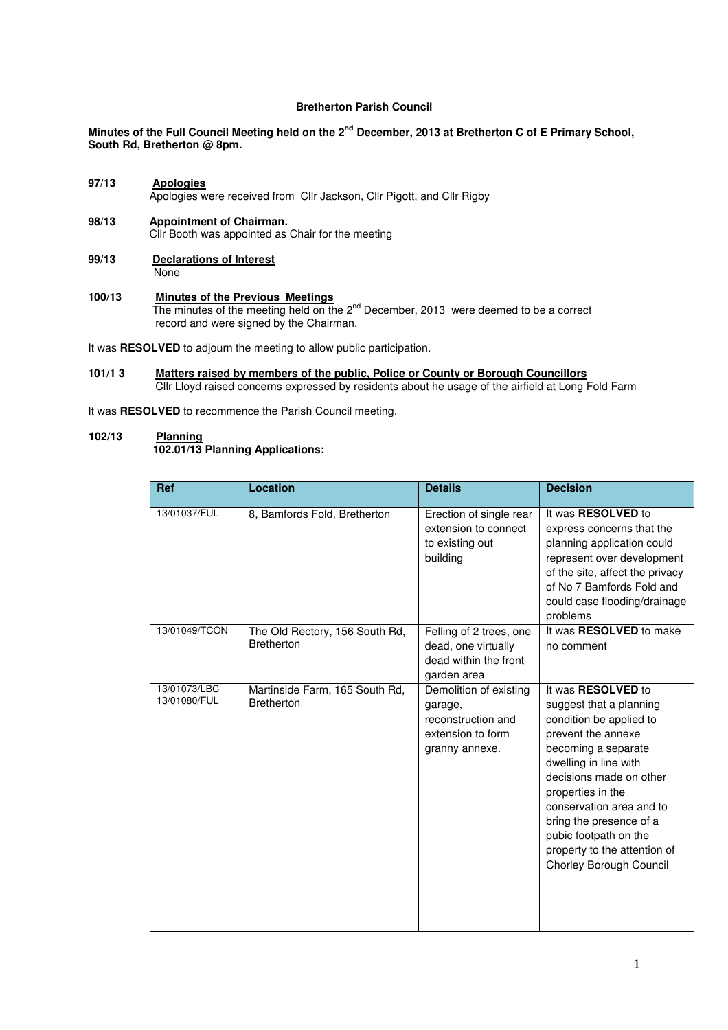## **Bretherton Parish Council**

# **Minutes of the Full Council Meeting held on the 2nd December, 2013 at Bretherton C of E Primary School, South Rd, Bretherton @ 8pm.**

## **97/13 Apologies** Apologies were received from Cllr Jackson, Cllr Pigott, and Cllr Rigby

- **98/13 Appointment of Chairman.** Cllr Booth was appointed as Chair for the meeting
- **99/13 Declarations of Interest None**
- **100/13 Minutes of the Previous Meetings** The minutes of the meeting held on the 2<sup>nd</sup> December, 2013 were deemed to be a correct record and were signed by the Chairman.

It was **RESOLVED** to adjourn the meeting to allow public participation.

 $101/13$ **Matters raised by members of the public, Police or County or Borough Councillors** Cllr Lloyd raised concerns expressed by residents about he usage of the airfield at Long Fold Farm

It was **RESOLVED** to recommence the Parish Council meeting.

## **102/13 Planning**

# **102.01/13 Planning Applications:**

| <b>Ref</b>                   | <b>Location</b>                                     | <b>Details</b>                                                                                 | <b>Decision</b>                                                                                                                                                                                                                                                                                                                           |
|------------------------------|-----------------------------------------------------|------------------------------------------------------------------------------------------------|-------------------------------------------------------------------------------------------------------------------------------------------------------------------------------------------------------------------------------------------------------------------------------------------------------------------------------------------|
|                              |                                                     |                                                                                                |                                                                                                                                                                                                                                                                                                                                           |
| 13/01037/FUL                 | 8, Bamfords Fold, Bretherton                        | Erection of single rear<br>extension to connect<br>to existing out<br>building                 | It was RESOLVED to<br>express concerns that the<br>planning application could<br>represent over development<br>of the site, affect the privacy<br>of No 7 Bamfords Fold and<br>could case flooding/drainage<br>problems                                                                                                                   |
| 13/01049/TCON                | The Old Rectory, 156 South Rd,<br><b>Bretherton</b> | Felling of 2 trees, one<br>dead, one virtually<br>dead within the front<br>garden area         | It was RESOLVED to make<br>no comment                                                                                                                                                                                                                                                                                                     |
| 13/01073/LBC<br>13/01080/FUL | Martinside Farm, 165 South Rd,<br><b>Bretherton</b> | Demolition of existing<br>garage,<br>reconstruction and<br>extension to form<br>granny annexe. | It was RESOLVED to<br>suggest that a planning<br>condition be applied to<br>prevent the annexe<br>becoming a separate<br>dwelling in line with<br>decisions made on other<br>properties in the<br>conservation area and to<br>bring the presence of a<br>pubic footpath on the<br>property to the attention of<br>Chorley Borough Council |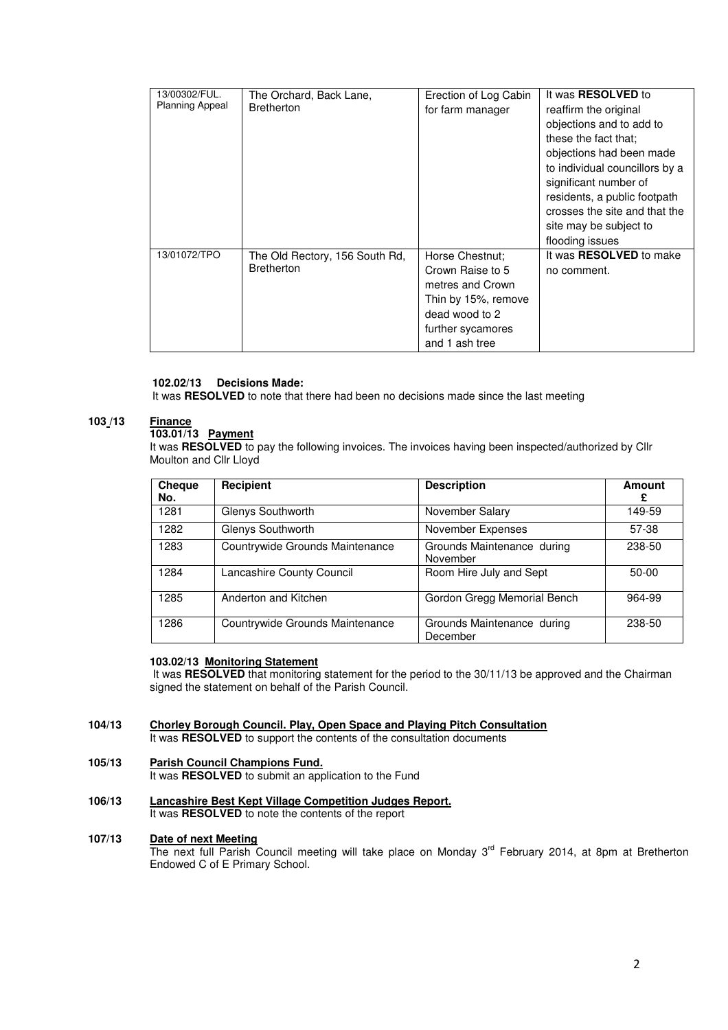| 13/00302/FUL.<br><b>Planning Appeal</b> | The Orchard, Back Lane,<br><b>Bretherton</b>        | Erection of Log Cabin<br>for farm manager | It was RESOLVED to<br>reaffirm the original<br>objections and to add to<br>these the fact that:<br>objections had been made<br>to individual councillors by a<br>significant number of<br>residents, a public footpath<br>crosses the site and that the<br>site may be subject to |
|-----------------------------------------|-----------------------------------------------------|-------------------------------------------|-----------------------------------------------------------------------------------------------------------------------------------------------------------------------------------------------------------------------------------------------------------------------------------|
|                                         |                                                     |                                           | flooding issues                                                                                                                                                                                                                                                                   |
| 13/01072/TPO                            | The Old Rectory, 156 South Rd,<br><b>Bretherton</b> | Horse Chestnut:                           | It was <b>RESOLVED</b> to make                                                                                                                                                                                                                                                    |
|                                         |                                                     | Crown Raise to 5                          | no comment.                                                                                                                                                                                                                                                                       |
|                                         |                                                     | metres and Crown                          |                                                                                                                                                                                                                                                                                   |
|                                         |                                                     | Thin by 15%, remove                       |                                                                                                                                                                                                                                                                                   |
|                                         |                                                     | dead wood to 2                            |                                                                                                                                                                                                                                                                                   |
|                                         |                                                     | further sycamores                         |                                                                                                                                                                                                                                                                                   |
|                                         |                                                     | and 1 ash tree                            |                                                                                                                                                                                                                                                                                   |

## **102.02/13 Decisions Made:**

It was **RESOLVED** to note that there had been no decisions made since the last meeting

## **103 /13 Finance**

### **103.01/13 Payment**

It was **RESOLVED** to pay the following invoices. The invoices having been inspected/authorized by Cllr Moulton and Cllr Lloyd

| Cheque<br>No. | Recipient                       | <b>Description</b>                     | <b>Amount</b><br>£ |
|---------------|---------------------------------|----------------------------------------|--------------------|
| 1281          | Glenys Southworth               | November Salary                        | 149-59             |
| 1282          | Glenys Southworth               | November Expenses                      | 57-38              |
| 1283          | Countrywide Grounds Maintenance | Grounds Maintenance during<br>November | 238-50             |
| 1284          | Lancashire County Council       | Room Hire July and Sept                | $50-00$            |
| 1285          | Anderton and Kitchen            | Gordon Gregg Memorial Bench            | 964-99             |
| 1286          | Countrywide Grounds Maintenance | Grounds Maintenance during<br>December | 238-50             |

## **103.02/13 Monitoring Statement**

 It was **RESOLVED** that monitoring statement for the period to the 30/11/13 be approved and the Chairman signed the statement on behalf of the Parish Council.

#### **104/13 Chorley Borough Council. Play, Open Space and Playing Pitch Consultation**

It was **RESOLVED** to support the contents of the consultation documents

#### **105/13 Parish Council Champions Fund.**

It was **RESOLVED** to submit an application to the Fund

**106/13 Lancashire Best Kept Village Competition Judges Report.** It was **RESOLVED** to note the contents of the report

#### **107/13 Date of next Meeting**

The next full Parish Council meeting will take place on Monday 3<sup>rd</sup> February 2014, at 8pm at Bretherton Endowed C of E Primary School.